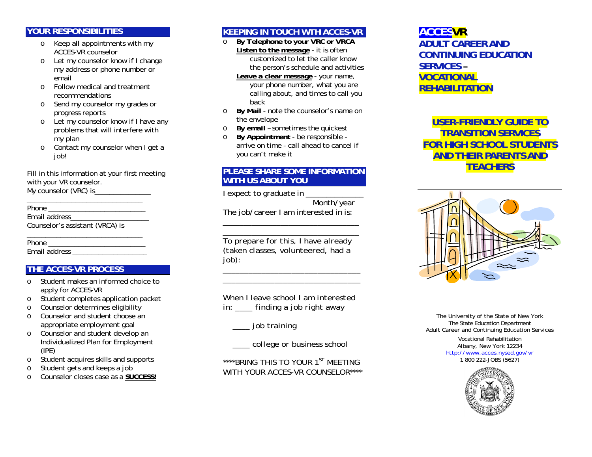#### **YOUR RESPONSIBILITIES**

- o Keep all appointments with my ACCES-VR counselor
- o Let my counselor know if I change my address or phone number or email
- o Follow medical and treatment recommendations
- o Send my counselor my grades or progress reports
- o Let my counselor know if I have any problems that will interfere with my plan
- o Contact my counselor when I get a job!

Fill in this information at your first meeting with your VR counselor. My counselor (VRC) is\_\_\_\_\_\_\_\_\_\_\_\_\_\_\_\_

Phone  $\blacksquare$ Email address Counselor's assistant (VRCA) is

\_\_\_\_\_\_\_\_\_\_\_\_\_\_\_\_\_\_\_\_\_\_\_\_\_\_\_\_\_\_\_

\_\_\_\_\_\_\_\_\_\_\_\_\_\_\_\_\_\_\_\_\_\_\_\_\_\_\_\_\_\_\_ Phone \_\_\_\_\_\_\_\_\_\_\_\_\_\_\_\_\_\_\_\_\_\_\_\_\_\_ Email address

# **THE ACCES-VR PROCESS**

- o Student makes an informed choice to apply for ACCES-VR
- oStudent completes application packet
- oCounselor determines eligibility
- o Counselor and student choose an appropriate employment goal
- o Counselor and student develop an Individualized Plan for Employment (IPE)
- oStudent acquires skills and supports
- oStudent gets and keeps a job
- oCounselor closes case as a **SUCCESS!**

# **KEEPING IN TOUCH WTH ACCES-VR**

- o *By Telephone to your VRC or VRCA Listen to the message* - it is often customized to let the caller know the person's schedule and activities
	- *Leave a clear message* your name, your phone number, what you are calling about, and times to call you back
- o *By Mail* note the counselor's name on the envelope
- o*By email* – sometimes the quickest
- o *By Appointment* be responsible arrive on time - call ahead to cancel if you can't make it

## **PLEASE SHARE SOME INFORMATION WITH US ABOUT YOU**

*I expect to graduate in \_\_\_\_\_\_\_\_\_\_\_\_\_\_ Month/year* 

*The job/career I am interested in is:* 

*\_\_\_\_\_\_\_\_\_\_\_\_\_\_\_\_\_\_\_\_\_\_\_\_\_\_\_\_\_\_\_\_\_* 

*\_\_\_\_\_\_\_\_\_\_\_\_\_\_\_\_\_\_\_\_\_\_\_\_\_\_\_\_\_\_\_\_\_ To prepare for this, I have already (taken classes, volunteered, had a job):* 

*When I leave school I am interested in: \_\_\_\_ finding a job right away* 

*\_\_\_\_\_\_\_\_\_\_\_\_\_\_\_\_\_\_\_\_\_\_\_\_\_\_\_\_\_\_\_\_ \_\_\_\_\_\_\_\_\_\_\_\_\_\_\_\_\_\_\_\_\_\_\_\_\_\_\_\_\_\_\_\_* 

 *\_\_\_\_ job training* 

 *\_\_\_\_ college or business school* 

*\*\*\*\*BRING THIS TO YOUR 1ST MEETING WITH YOUR ACCES-VR COUNSELOR\*\*\*\** 

# **ACCESVR ADULT CAREER AND CONTINUING EDUCATION SERVICES – VOCATIONAL REHABILITATION**

**USER-FRIENDLY GUIDE TO TRANSITION SERVICES FOR HIGH SCHOOL STUDENTS AND THEIR PARENTS AND TEACHERS** 



The University of the State of New York The State Education Department Adult Career and Continuing Education Services

> Vocational Rehabilitation Albany, New York 12234 http://www.acces.nysed.gov/vr 1 800 222-JOBS (5627)